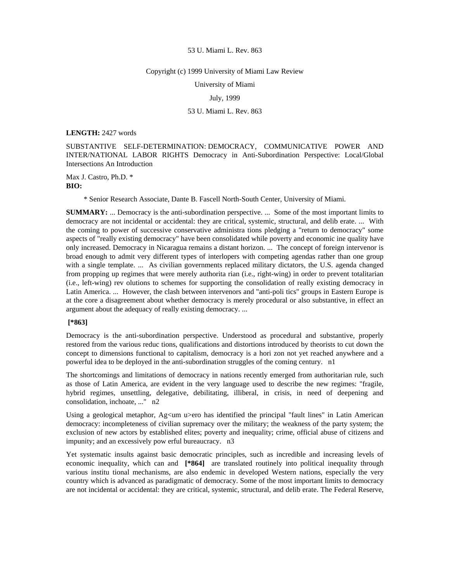## Copyright (c) 1999 University of Miami Law Review

University of Miami

July, 1999

# 53 U. Miami L. Rev. 863

## **LENGTH:** 2427 words

SUBSTANTIVE SELF-DETERMINATION: DEMOCRACY, COMMUNICATIVE POWER AND INTER/NATIONAL LABOR RIGHTS Democracy in Anti-Subordination Perspective: Local/Global Intersections An Introduction

Max J. Castro, Ph.D. \* **BIO:** 

\* Senior Research Associate, Dante B. Fascell North-South Center, University of Miami.

**SUMMARY:** ... Democracy is the anti-subordination perspective. ... Some of the most important limits to democracy are not incidental or accidental: they are critical, systemic, structural, and delib erate. ... With the coming to power of successive conservative administra tions pledging a "return to democracy" some aspects of "really existing democracy" have been consolidated while poverty and economic ine quality have only increased. Democracy in Nicaragua remains a distant horizon. ... The concept of foreign intervenor is broad enough to admit very different types of interlopers with competing agendas rather than one group with a single template. ... As civilian governments replaced military dictators, the U.S. agenda changed from propping up regimes that were merely authorita rian (i.e., right-wing) in order to prevent totalitarian (i.e., left-wing) rev olutions to schemes for supporting the consolidation of really existing democracy in Latin America. ... However, the clash between intervenors and "anti-poli tics" groups in Eastern Europe is at the core a disagreement about whether democracy is merely procedural or also substantive, in effect an argument about the adequacy of really existing democracy. ...

# **[\*863]**

Democracy is the anti-subordination perspective. Understood as procedural and substantive, properly restored from the various reduc tions, qualifications and distortions introduced by theorists to cut down the concept to dimensions functional to capitalism, democracy is a hori zon not yet reached anywhere and a powerful idea to be deployed in the anti-subordination struggles of the coming century. n1

The shortcomings and limitations of democracy in nations recently emerged from authoritarian rule, such as those of Latin America, are evident in the very language used to describe the new regimes: "fragile, hybrid regimes, unsettling, delegative, debilitating, illiberal, in crisis, in need of deepening and consolidation, inchoate, ..." n2

Using a geological metaphor,  $Ag<sub>cm</sub>$  usero has identified the principal "fault lines" in Latin American democracy: incompleteness of civilian supremacy over the military; the weakness of the party system; the exclusion of new actors by established elites; poverty and inequality; crime, official abuse of citizens and impunity; and an excessively pow erful bureaucracy. n3

Yet systematic insults against basic democratic principles, such as incredible and increasing levels of economic inequality, which can and **[\*864]** are translated routinely into political inequality through various institu tional mechanisms, are also endemic in developed Western nations, especially the very country which is advanced as paradigmatic of democracy. Some of the most important limits to democracy are not incidental or accidental: they are critical, systemic, structural, and delib erate. The Federal Reserve,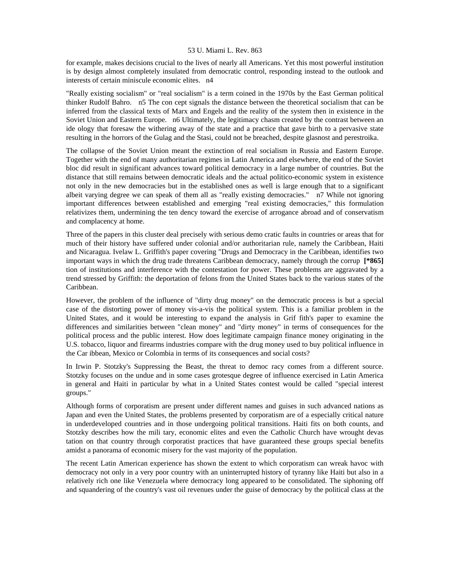for example, makes decisions crucial to the lives of nearly all Americans. Yet this most powerful institution is by design almost completely insulated from democratic control, responding instead to the outlook and interests of certain miniscule economic elites. n4

"Really existing socialism" or "real socialism" is a term coined in the 1970s by the East German political thinker Rudolf Bahro. n5 The con cept signals the distance between the theoretical socialism that can be inferred from the classical texts of Marx and Engels and the reality of the system then in existence in the Soviet Union and Eastern Europe. n6 Ultimately, the legitimacy chasm created by the contrast between an ide ology that foresaw the withering away of the state and a practice that gave birth to a pervasive state resulting in the horrors of the Gulag and the Stasi, could not be breached, despite glasnost and perestroika.

The collapse of the Soviet Union meant the extinction of real socialism in Russia and Eastern Europe. Together with the end of many authoritarian regimes in Latin America and elsewhere, the end of the Soviet bloc did result in significant advances toward political democracy in a large number of countries. But the distance that still remains between democratic ideals and the actual politico-economic system in existence not only in the new democracies but in the established ones as well is large enough that to a significant albeit varying degree we can speak of them all as "really existing democracies." n7 While not ignoring important differences between established and emerging "real existing democracies," this formulation relativizes them, undermining the ten dency toward the exercise of arrogance abroad and of conservatism and complacency at home.

Three of the papers in this cluster deal precisely with serious demo cratic faults in countries or areas that for much of their history have suffered under colonial and/or authoritarian rule, namely the Caribbean, Haiti and Nicaragua. Ivelaw L. Griffith's paper covering "Drugs and Democracy in the Caribbean, identifies two important ways in which the drug trade threatens Caribbean democracy, namely through the corrup **[\*865]**  tion of institutions and interference with the contestation for power. These problems are aggravated by a trend stressed by Griffith: the deportation of felons from the United States back to the various states of the Caribbean.

However, the problem of the influence of "dirty drug money" on the democratic process is but a special case of the distorting power of money vis-a-vis the political system. This is a familiar problem in the United States, and it would be interesting to expand the analysis in Grif fith's paper to examine the differences and similarities between "clean money" and "dirty money" in terms of consequences for the political process and the public interest. How does legitimate campaign finance money originating in the U.S. tobacco, liquor and firearms industries compare with the drug money used to buy political influence in the Car ibbean, Mexico or Colombia in terms of its consequences and social costs?

In Irwin P. Stotzky's Suppressing the Beast, the threat to democ racy comes from a different source. Stotzky focuses on the undue and in some cases grotesque degree of influence exercised in Latin America in general and Haiti in particular by what in a United States contest would be called "special interest groups."

Although forms of corporatism are present under different names and guises in such advanced nations as Japan and even the United States, the problems presented by corporatism are of a especially critical nature in underdeveloped countries and in those undergoing political transitions. Haiti fits on both counts, and Stotzky describes how the mili tary, economic elites and even the Catholic Church have wrought devas tation on that country through corporatist practices that have guaranteed these groups special benefits amidst a panorama of economic misery for the vast majority of the population.

The recent Latin American experience has shown the extent to which corporatism can wreak havoc with democracy not only in a very poor country with an uninterrupted history of tyranny like Haiti but also in a relatively rich one like Venezuela where democracy long appeared to be consolidated. The siphoning off and squandering of the country's vast oil revenues under the guise of democracy by the political class at the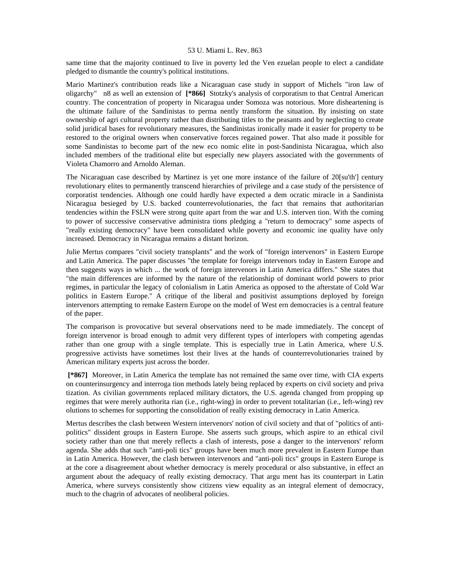same time that the majority continued to live in poverty led the Ven ezuelan people to elect a candidate pledged to dismantle the country's political institutions.

Mario Martinez's contribution reads like a Nicaraguan case study in support of Michels "iron law of oligarchy" n8 as well an extension of **[\*866]** Stotzky's analysis of corporatism to that Central American country. The concentration of property in Nicaragua under Somoza was notorious. More disheartening is the ultimate failure of the Sandinistas to perma nently transform the situation. By insisting on state ownership of agri cultural property rather than distributing titles to the peasants and by neglecting to create solid juridical bases for revolutionary measures, the Sandinistas ironically made it easier for property to be restored to the original owners when conservative forces regained power. That also made it possible for some Sandinistas to become part of the new eco nomic elite in post-Sandinista Nicaragua, which also included members of the traditional elite but especially new players associated with the governments of Violeta Chamorro and Arnoldo Aleman.

The Nicaraguan case described by Martinez is yet one more instance of the failure of 20[su'th'] century revolutionary elites to permanently transcend hierarchies of privilege and a case study of the persistence of corporatist tendencies. Although one could hardly have expected a dem ocratic miracle in a Sandinista Nicaragua besieged by U.S. backed counterrevolutionaries, the fact that remains that authoritarian tendencies within the FSLN were strong quite apart from the war and U.S. interven tion. With the coming to power of successive conservative administra tions pledging a "return to democracy" some aspects of "really existing democracy" have been consolidated while poverty and economic ine quality have only increased. Democracy in Nicaragua remains a distant horizon.

Julie Mertus compares "civil society transplants" and the work of "foreign intervenors" in Eastern Europe and Latin America. The paper discusses "the template for foreign intervenors today in Eastern Europe and then suggests ways in which ... the work of foreign intervenors in Latin America differs." She states that "the main differences are informed by the nature of the relationship of dominant world powers to prior regimes, in particular the legacy of colonialism in Latin America as opposed to the afterstate of Cold War politics in Eastern Europe." A critique of the liberal and positivist assumptions deployed by foreign intervenors attempting to remake Eastern Europe on the model of West ern democracies is a central feature of the paper.

The comparison is provocative but several observations need to be made immediately. The concept of foreign intervenor is broad enough to admit very different types of interlopers with competing agendas rather than one group with a single template. This is especially true in Latin America, where U.S. progressive activists have sometimes lost their lives at the hands of counterrevolutionaries trained by American military experts just across the border.

 **[\*867]** Moreover, in Latin America the template has not remained the same over time, with CIA experts on counterinsurgency and interroga tion methods lately being replaced by experts on civil society and priva tization. As civilian governments replaced military dictators, the U.S. agenda changed from propping up regimes that were merely authorita rian (i.e., right-wing) in order to prevent totalitarian (i.e., left-wing) rev olutions to schemes for supporting the consolidation of really existing democracy in Latin America.

Mertus describes the clash between Western intervenors' notion of civil society and that of "politics of antipolitics" dissident groups in Eastern Europe. She asserts such groups, which aspire to an ethical civil society rather than one that merely reflects a clash of interests, pose a danger to the intervenors' reform agenda. She adds that such "anti-poli tics" groups have been much more prevalent in Eastern Europe than in Latin America. However, the clash between intervenors and "anti-poli tics" groups in Eastern Europe is at the core a disagreement about whether democracy is merely procedural or also substantive, in effect an argument about the adequacy of really existing democracy. That argu ment has its counterpart in Latin America, where surveys consistently show citizens view equality as an integral element of democracy, much to the chagrin of advocates of neoliberal policies.